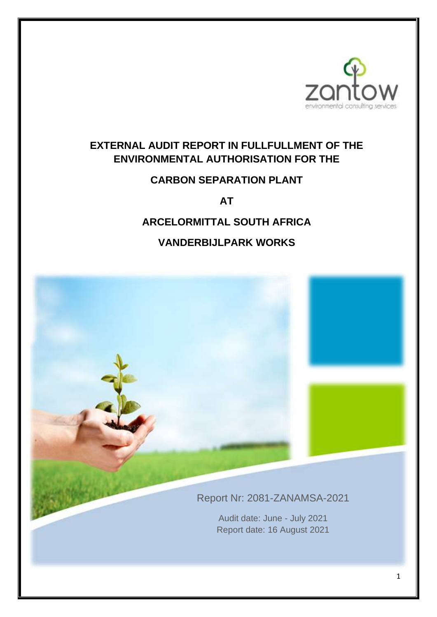

# **EXTERNAL AUDIT REPORT IN FULLFULLMENT OF THE ENVIRONMENTAL AUTHORISATION FOR THE**

# **CARBON SEPARATION PLANT**

**AT** 

# **ARCELORMITTAL SOUTH AFRICA**

# **VANDERBIJLPARK WORKS**

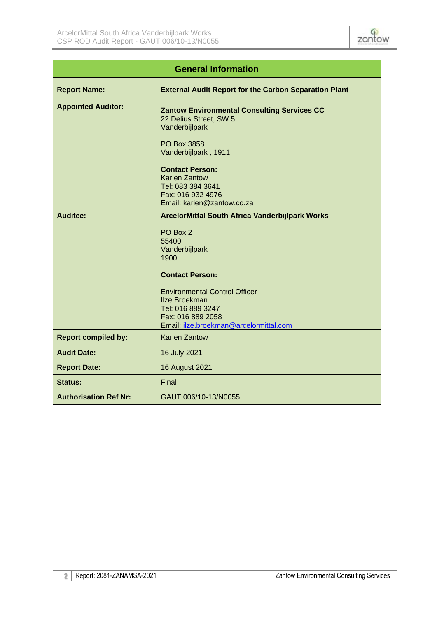

| <b>General Information</b>   |                                                                                                                                                                                                                                                                                     |  |  |
|------------------------------|-------------------------------------------------------------------------------------------------------------------------------------------------------------------------------------------------------------------------------------------------------------------------------------|--|--|
| <b>Report Name:</b>          | <b>External Audit Report for the Carbon Separation Plant</b>                                                                                                                                                                                                                        |  |  |
| <b>Appointed Auditor:</b>    | <b>Zantow Environmental Consulting Services CC</b><br>22 Delius Street, SW 5<br>Vanderbijlpark<br><b>PO Box 3858</b><br>Vanderbijlpark, 1911<br><b>Contact Person:</b><br><b>Karien Zantow</b><br>Tel: 083 384 3641<br>Fax: 016 932 4976<br>Email: karien@zantow.co.za              |  |  |
| <b>Auditee:</b>              | <b>ArcelorMittal South Africa Vanderbijlpark Works</b><br>PO Box 2<br>55400<br>Vanderbijlpark<br>1900<br><b>Contact Person:</b><br><b>Environmental Control Officer</b><br><b>Ilze Broekman</b><br>Tel: 016 889 3247<br>Fax: 016 889 2058<br>Email: ilze.broekman@arcelormittal.com |  |  |
| <b>Report compiled by:</b>   | <b>Karien Zantow</b>                                                                                                                                                                                                                                                                |  |  |
| <b>Audit Date:</b>           | 16 July 2021                                                                                                                                                                                                                                                                        |  |  |
| <b>Report Date:</b>          | 16 August 2021                                                                                                                                                                                                                                                                      |  |  |
| <b>Status:</b>               | Final                                                                                                                                                                                                                                                                               |  |  |
| <b>Authorisation Ref Nr:</b> | GAUT 006/10-13/N0055                                                                                                                                                                                                                                                                |  |  |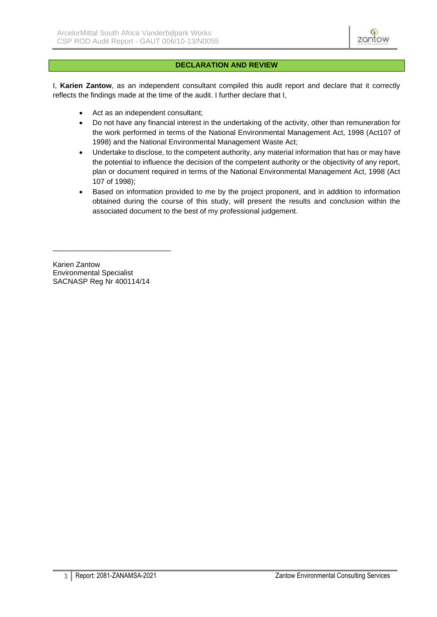

#### **DECLARATION AND REVIEW**

<span id="page-2-0"></span>I, **Karien Zantow**, as an independent consultant compiled this audit report and declare that it correctly reflects the findings made at the time of the audit. I further declare that I,

- Act as an independent consultant;
- Do not have any financial interest in the undertaking of the activity, other than remuneration for the work performed in terms of the National Environmental Management Act, 1998 (Act107 of 1998) and the National Environmental Management Waste Act;
- Undertake to disclose, to the competent authority, any material information that has or may have the potential to influence the decision of the competent authority or the objectivity of any report, plan or document required in terms of the National Environmental Management Act, 1998 (Act 107 of 1998);
- Based on information provided to me by the project proponent, and in addition to information obtained during the course of this study, will present the results and conclusion within the associated document to the best of my professional judgement.

Karien Zantow Environmental Specialist SACNASP Reg Nr 400114/14

\_\_\_\_\_\_\_\_\_\_\_\_\_\_\_\_\_\_\_\_\_\_\_\_\_\_\_\_\_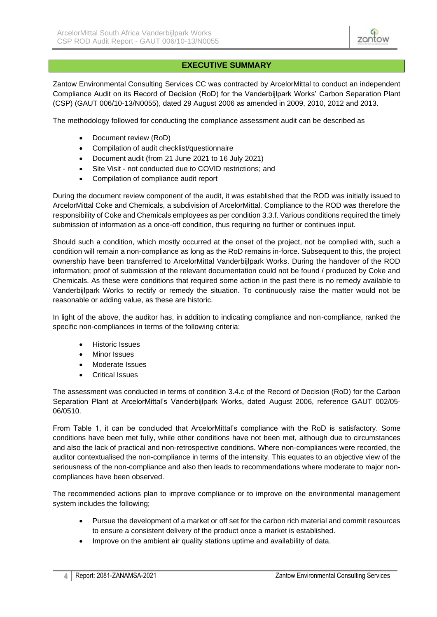

Zantow Environmental Consulting Services CC was contracted by ArcelorMittal to conduct an independent Compliance Audit on its Record of Decision (RoD) for the Vanderbijlpark Works' Carbon Separation Plant (CSP) (GAUT 006/10-13/N0055), dated 29 August 2006 as amended in 2009, 2010, 2012 and 2013.

The methodology followed for conducting the compliance assessment audit can be described as

- Document review (RoD)
- Compilation of audit checklist/questionnaire
- Document audit (from 21 June 2021 to 16 July 2021)
- Site Visit not conducted due to COVID restrictions; and
- Compilation of compliance audit report

During the document review component of the audit, it was established that the ROD was initially issued to ArcelorMittal Coke and Chemicals, a subdivision of ArcelorMittal. Compliance to the ROD was therefore the responsibility of Coke and Chemicals employees as per condition 3.3.f. Various conditions required the timely submission of information as a once-off condition, thus requiring no further or continues input.

Should such a condition, which mostly occurred at the onset of the project, not be complied with, such a condition will remain a non-compliance as long as the RoD remains in-force. Subsequent to this, the project ownership have been transferred to ArcelorMittal Vanderbijlpark Works. During the handover of the ROD information; proof of submission of the relevant documentation could not be found / produced by Coke and Chemicals. As these were conditions that required some action in the past there is no remedy available to Vanderbijlpark Works to rectify or remedy the situation. To continuously raise the matter would not be reasonable or adding value, as these are historic.

In light of the above, the auditor has, in addition to indicating compliance and non-compliance, ranked the specific non-compliances in terms of the following criteria:

- Historic Issues
- Minor Issues
- Moderate Issues
- Critical Issues

The assessment was conducted in terms of condition 3.4.c of the Record of Decision (RoD) for the Carbon Separation Plant at ArcelorMittal's Vanderbijlpark Works, dated August 2006, reference GAUT 002/05- 06/0510.

From Table 1, it can be concluded that ArcelorMittal's compliance with the RoD is satisfactory. Some conditions have been met fully, while other conditions have not been met, although due to circumstances and also the lack of practical and non-retrospective conditions. Where non-compliances were recorded, the auditor contextualised the non-compliance in terms of the intensity. This equates to an objective view of the seriousness of the non-compliance and also then leads to recommendations where moderate to major noncompliances have been observed.

The recommended actions plan to improve compliance or to improve on the environmental management system includes the following;

- Pursue the development of a market or off set for the carbon rich material and commit resources to ensure a consistent delivery of the product once a market is established.
- Improve on the ambient air quality stations uptime and availability of data.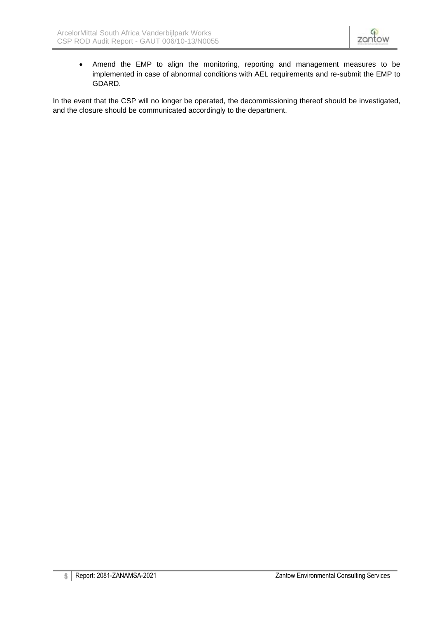• Amend the EMP to align the monitoring, reporting and management measures to be implemented in case of abnormal conditions with AEL requirements and re-submit the EMP to GDARD.

In the event that the CSP will no longer be operated, the decommissioning thereof should be investigated, and the closure should be communicated accordingly to the department.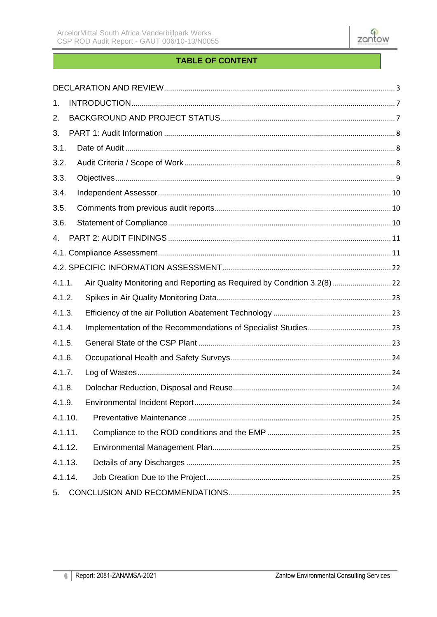

# **TABLE OF CONTENT**

| 1.      |                                                                         |  |
|---------|-------------------------------------------------------------------------|--|
| 2.      |                                                                         |  |
| 3.      |                                                                         |  |
| 3.1.    |                                                                         |  |
| 3.2.    |                                                                         |  |
| 3.3.    |                                                                         |  |
| 3.4.    |                                                                         |  |
| 3.5.    |                                                                         |  |
| 3.6.    |                                                                         |  |
| 4.      |                                                                         |  |
|         |                                                                         |  |
|         |                                                                         |  |
| 4.1.1.  | Air Quality Monitoring and Reporting as Required by Condition 3.2(8) 22 |  |
| 4.1.2.  |                                                                         |  |
| 4.1.3.  |                                                                         |  |
| 4.1.4.  |                                                                         |  |
| 4.1.5.  |                                                                         |  |
| 4.1.6.  |                                                                         |  |
| 4.1.7.  |                                                                         |  |
| 4.1.8.  |                                                                         |  |
| 4.1.9.  |                                                                         |  |
| 4.1.10. |                                                                         |  |
| 4.1.11. |                                                                         |  |
| 4.1.12. |                                                                         |  |
| 4.1.13. |                                                                         |  |
| 4.1.14. |                                                                         |  |
| 5.      |                                                                         |  |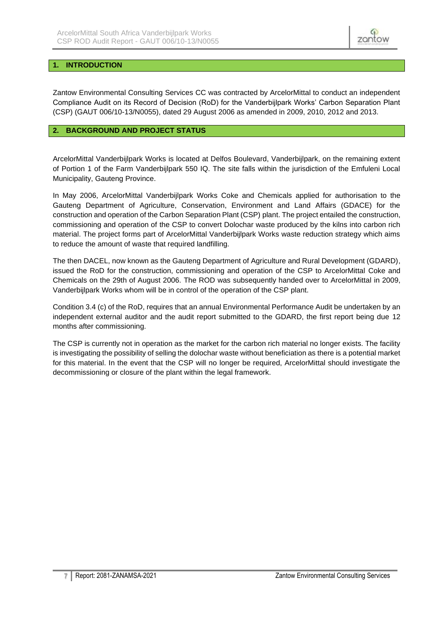

# <span id="page-6-0"></span>**1. INTRODUCTION**

<span id="page-6-1"></span>Zantow Environmental Consulting Services CC was contracted by ArcelorMittal to conduct an independent Compliance Audit on its Record of Decision (RoD) for the Vanderbijlpark Works' Carbon Separation Plant (CSP) (GAUT 006/10-13/N0055), dated 29 August 2006 as amended in 2009, 2010, 2012 and 2013.

#### **2. BACKGROUND AND PROJECT STATUS**

ArcelorMittal Vanderbijlpark Works is located at Delfos Boulevard, Vanderbijlpark, on the remaining extent of Portion 1 of the Farm Vanderbijlpark 550 IQ. The site falls within the jurisdiction of the Emfuleni Local Municipality, Gauteng Province.

In May 2006, ArcelorMittal Vanderbijlpark Works Coke and Chemicals applied for authorisation to the Gauteng Department of Agriculture, Conservation, Environment and Land Affairs (GDACE) for the construction and operation of the Carbon Separation Plant (CSP) plant. The project entailed the construction, commissioning and operation of the CSP to convert Dolochar waste produced by the kilns into carbon rich material. The project forms part of ArcelorMittal Vanderbijlpark Works waste reduction strategy which aims to reduce the amount of waste that required landfilling.

The then DACEL, now known as the Gauteng Department of Agriculture and Rural Development (GDARD), issued the RoD for the construction, commissioning and operation of the CSP to ArcelorMittal Coke and Chemicals on the 29th of August 2006. The ROD was subsequently handed over to ArcelorMittal in 2009, Vanderbijlpark Works whom will be in control of the operation of the CSP plant.

Condition 3.4 (c) of the RoD, requires that an annual Environmental Performance Audit be undertaken by an independent external auditor and the audit report submitted to the GDARD, the first report being due 12 months after commissioning.

The CSP is currently not in operation as the market for the carbon rich material no longer exists. The facility is investigating the possibility of selling the dolochar waste without beneficiation as there is a potential market for this material. In the event that the CSP will no longer be required, ArcelorMittal should investigate the decommissioning or closure of the plant within the legal framework.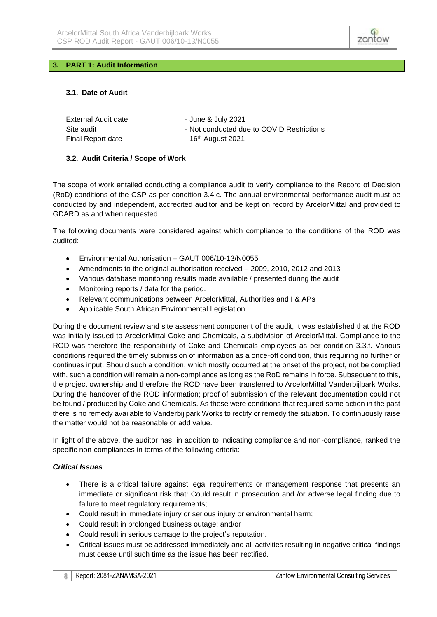

#### <span id="page-7-0"></span>**3. PART 1: Audit Information**

#### <span id="page-7-1"></span>**3.1. Date of Audit**

| External Audit date: | - June & July 2021                        |
|----------------------|-------------------------------------------|
| Site audit           | - Not conducted due to COVID Restrictions |
| Final Report date    | $-16th$ August 2021                       |

#### <span id="page-7-2"></span>**3.2. Audit Criteria / Scope of Work**

The scope of work entailed conducting a compliance audit to verify compliance to the Record of Decision (RoD) conditions of the CSP as per condition 3.4.c. The annual environmental performance audit must be conducted by and independent, accredited auditor and be kept on record by ArcelorMittal and provided to GDARD as and when requested.

The following documents were considered against which compliance to the conditions of the ROD was audited:

- Environmental Authorisation GAUT 006/10-13/N0055
- Amendments to the original authorisation received 2009, 2010, 2012 and 2013
- Various database monitoring results made available / presented during the audit
- Monitoring reports / data for the period.
- Relevant communications between ArcelorMittal, Authorities and I & APs
- Applicable South African Environmental Legislation.

During the document review and site assessment component of the audit, it was established that the ROD was initially issued to ArcelorMittal Coke and Chemicals, a subdivision of ArcelorMittal. Compliance to the ROD was therefore the responsibility of Coke and Chemicals employees as per condition 3.3.f. Various conditions required the timely submission of information as a once-off condition, thus requiring no further or continues input. Should such a condition, which mostly occurred at the onset of the project, not be complied with, such a condition will remain a non-compliance as long as the RoD remains in force. Subsequent to this, the project ownership and therefore the ROD have been transferred to ArcelorMittal Vanderbijlpark Works. During the handover of the ROD information; proof of submission of the relevant documentation could not be found / produced by Coke and Chemicals. As these were conditions that required some action in the past there is no remedy available to Vanderbijlpark Works to rectify or remedy the situation. To continuously raise the matter would not be reasonable or add value.

In light of the above, the auditor has, in addition to indicating compliance and non-compliance, ranked the specific non-compliances in terms of the following criteria:

#### *Critical Issues*

- There is a critical failure against legal requirements or management response that presents an immediate or significant risk that: Could result in prosecution and /or adverse legal finding due to failure to meet regulatory requirements;
- Could result in immediate injury or serious injury or environmental harm;
- Could result in prolonged business outage; and/or
- Could result in serious damage to the project's reputation.
- Critical issues must be addressed immediately and all activities resulting in negative critical findings must cease until such time as the issue has been rectified.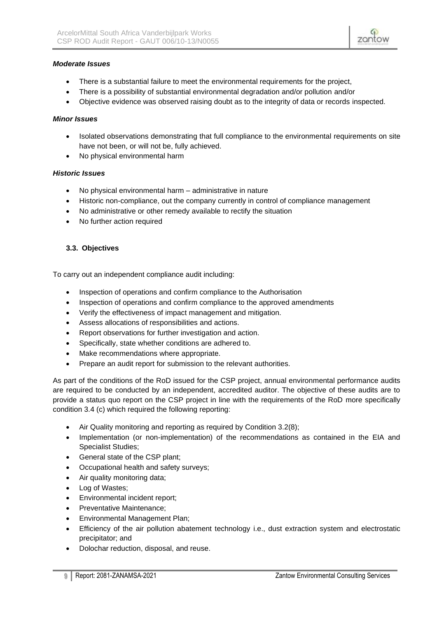#### *Moderate Issues*

- There is a substantial failure to meet the environmental requirements for the project,
- There is a possibility of substantial environmental degradation and/or pollution and/or
- Objective evidence was observed raising doubt as to the integrity of data or records inspected.

#### *Minor Issues*

- Isolated observations demonstrating that full compliance to the environmental requirements on site have not been, or will not be, fully achieved.
- No physical environmental harm

#### *Historic Issues*

- No physical environmental harm administrative in nature
- Historic non-compliance, out the company currently in control of compliance management
- No administrative or other remedy available to rectify the situation
- No further action required

#### <span id="page-8-0"></span>**3.3. Objectives**

To carry out an independent compliance audit including:

- Inspection of operations and confirm compliance to the Authorisation
- Inspection of operations and confirm compliance to the approved amendments
- Verify the effectiveness of impact management and mitigation.
- Assess allocations of responsibilities and actions.
- Report observations for further investigation and action.
- Specifically, state whether conditions are adhered to.
- Make recommendations where appropriate.
- Prepare an audit report for submission to the relevant authorities.

As part of the conditions of the RoD issued for the CSP project, annual environmental performance audits are required to be conducted by an independent, accredited auditor. The objective of these audits are to provide a status quo report on the CSP project in line with the requirements of the RoD more specifically condition 3.4 (c) which required the following reporting:

- Air Quality monitoring and reporting as required by Condition 3.2(8);
- Implementation (or non-implementation) of the recommendations as contained in the EIA and Specialist Studies;
- General state of the CSP plant;
- Occupational health and safety surveys;
- Air quality monitoring data;
- Log of Wastes;
- Environmental incident report;
- Preventative Maintenance;
- Environmental Management Plan;
- Efficiency of the air pollution abatement technology i.e., dust extraction system and electrostatic precipitator; and
- Dolochar reduction, disposal, and reuse.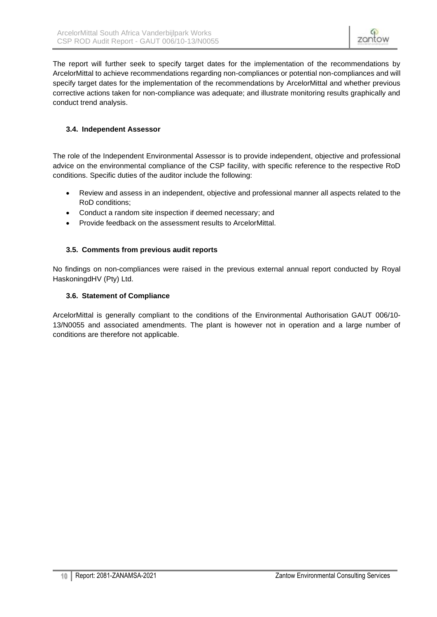The report will further seek to specify target dates for the implementation of the recommendations by ArcelorMittal to achieve recommendations regarding non-compliances or potential non-compliances and will specify target dates for the implementation of the recommendations by ArcelorMittal and whether previous corrective actions taken for non-compliance was adequate; and illustrate monitoring results graphically and conduct trend analysis.

# <span id="page-9-0"></span>**3.4. Independent Assessor**

The role of the Independent Environmental Assessor is to provide independent, objective and professional advice on the environmental compliance of the CSP facility, with specific reference to the respective RoD conditions. Specific duties of the auditor include the following:

- Review and assess in an independent, objective and professional manner all aspects related to the RoD conditions;
- Conduct a random site inspection if deemed necessary; and
- Provide feedback on the assessment results to ArcelorMittal.

#### <span id="page-9-1"></span>**3.5. Comments from previous audit reports**

No findings on non-compliances were raised in the previous external annual report conducted by Royal HaskoningdHV (Pty) Ltd.

#### <span id="page-9-2"></span>**3.6. Statement of Compliance**

ArcelorMittal is generally compliant to the conditions of the Environmental Authorisation GAUT 006/10- 13/N0055 and associated amendments. The plant is however not in operation and a large number of conditions are therefore not applicable.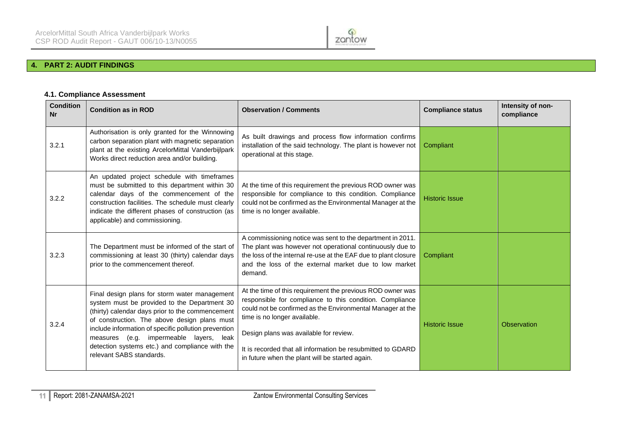

# **4. PART 2: AUDIT FINDINGS**

#### **4.1. Compliance Assessment**

<span id="page-10-1"></span><span id="page-10-0"></span>

| <b>Condition</b><br><b>Nr</b> | <b>Condition as in ROD</b>                                                                                                                                                                                                                                                                                                                                                          | <b>Observation / Comments</b>                                                                                                                                                                                                                                                                                                                                                    | <b>Compliance status</b> | Intensity of non-<br>compliance |
|-------------------------------|-------------------------------------------------------------------------------------------------------------------------------------------------------------------------------------------------------------------------------------------------------------------------------------------------------------------------------------------------------------------------------------|----------------------------------------------------------------------------------------------------------------------------------------------------------------------------------------------------------------------------------------------------------------------------------------------------------------------------------------------------------------------------------|--------------------------|---------------------------------|
| 3.2.1                         | Authorisation is only granted for the Winnowing<br>carbon separation plant with magnetic separation<br>plant at the existing ArcelorMittal Vanderbijlpark<br>Works direct reduction area and/or building.                                                                                                                                                                           | As built drawings and process flow information confirms<br>installation of the said technology. The plant is however not<br>operational at this stage.                                                                                                                                                                                                                           | Compliant                |                                 |
| 3.2.2                         | An updated project schedule with timeframes<br>must be submitted to this department within 30<br>calendar days of the commencement of the<br>construction facilities. The schedule must clearly<br>indicate the different phases of construction (as<br>applicable) and commissioning.                                                                                              | At the time of this requirement the previous ROD owner was<br>responsible for compliance to this condition. Compliance<br>could not be confirmed as the Environmental Manager at the<br>time is no longer available.                                                                                                                                                             | <b>Historic Issue</b>    |                                 |
| 3.2.3                         | The Department must be informed of the start of<br>commissioning at least 30 (thirty) calendar days<br>prior to the commencement thereof.                                                                                                                                                                                                                                           | A commissioning notice was sent to the department in 2011.<br>The plant was however not operational continuously due to<br>the loss of the internal re-use at the EAF due to plant closure<br>and the loss of the external market due to low market<br>demand.                                                                                                                   | Compliant                |                                 |
| 3.2.4                         | Final design plans for storm water management<br>system must be provided to the Department 30<br>(thirty) calendar days prior to the commencement<br>of construction. The above design plans must<br>include information of specific pollution prevention<br>measures (e.g. impermeable layers, leak<br>detection systems etc.) and compliance with the<br>relevant SABS standards. | At the time of this requirement the previous ROD owner was<br>responsible for compliance to this condition. Compliance<br>could not be confirmed as the Environmental Manager at the<br>time is no longer available.<br>Design plans was available for review.<br>It is recorded that all information be resubmitted to GDARD<br>in future when the plant will be started again. | <b>Historic Issue</b>    | Observation                     |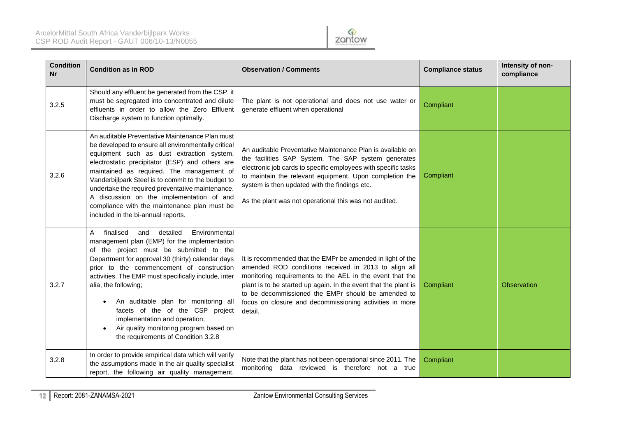

| <b>Condition</b><br>Nr | <b>Condition as in ROD</b>                                                                                                                                                                                                                                                                                                                                                                                                                                                                                                                               | <b>Observation / Comments</b>                                                                                                                                                                                                                                                                                                                                                 | <b>Compliance status</b> | Intensity of non-<br>compliance |
|------------------------|----------------------------------------------------------------------------------------------------------------------------------------------------------------------------------------------------------------------------------------------------------------------------------------------------------------------------------------------------------------------------------------------------------------------------------------------------------------------------------------------------------------------------------------------------------|-------------------------------------------------------------------------------------------------------------------------------------------------------------------------------------------------------------------------------------------------------------------------------------------------------------------------------------------------------------------------------|--------------------------|---------------------------------|
| 3.2.5                  | Should any effluent be generated from the CSP, it<br>must be segregated into concentrated and dilute<br>effluents in order to allow the Zero Effluent<br>Discharge system to function optimally.                                                                                                                                                                                                                                                                                                                                                         | The plant is not operational and does not use water or<br>generate effluent when operational                                                                                                                                                                                                                                                                                  | Compliant                |                                 |
| 3.2.6                  | An auditable Preventative Maintenance Plan must<br>be developed to ensure all environmentally critical<br>equipment such as dust extraction system,<br>electrostatic precipitator (ESP) and others are<br>maintained as required. The management of<br>Vanderbijlpark Steel is to commit to the budget to<br>undertake the required preventative maintenance.<br>A discussion on the implementation of and<br>compliance with the maintenance plan must be<br>included in the bi-annual reports.                                                         | An auditable Preventative Maintenance Plan is available on<br>the facilities SAP System. The SAP system generates<br>electronic job cards to specific employees with specific tasks<br>to maintain the relevant equipment. Upon completion the<br>system is then updated with the findings etc.<br>As the plant was not operational this was not audited.                     | Compliant                |                                 |
| 3.2.7                  | Environmental<br>finalised<br>and<br>detailed<br>A<br>management plan (EMP) for the implementation<br>of the project must be submitted to the<br>Department for approval 30 (thirty) calendar days<br>prior to the commencement of construction<br>activities. The EMP must specifically include, inter<br>alia, the following;<br>An auditable plan for monitoring all<br>$\bullet$<br>facets of the of the CSP project<br>implementation and operation;<br>Air quality monitoring program based on<br>$\bullet$<br>the requirements of Condition 3.2.8 | It is recommended that the EMPr be amended in light of the<br>amended ROD conditions received in 2013 to align all<br>monitoring requirements to the AEL in the event that the<br>plant is to be started up again. In the event that the plant is<br>to be decommissioned the EMPr should be amended to<br>focus on closure and decommissioning activities in more<br>detail. | Compliant                | <b>Observation</b>              |
| 3.2.8                  | In order to provide empirical data which will verify<br>the assumptions made in the air quality specialist<br>report, the following air quality management,                                                                                                                                                                                                                                                                                                                                                                                              | Note that the plant has not been operational since 2011. The<br>monitoring data reviewed is therefore not a true                                                                                                                                                                                                                                                              | Compliant                |                                 |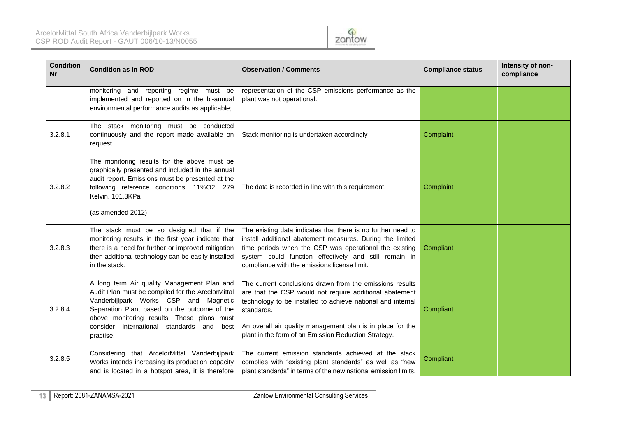

| <b>Condition</b><br><b>Nr</b> | <b>Condition as in ROD</b>                                                                                                                                                                                                                                                                           | <b>Observation / Comments</b>                                                                                                                                                                                                                                                                                          | <b>Compliance status</b> | Intensity of non-<br>compliance |
|-------------------------------|------------------------------------------------------------------------------------------------------------------------------------------------------------------------------------------------------------------------------------------------------------------------------------------------------|------------------------------------------------------------------------------------------------------------------------------------------------------------------------------------------------------------------------------------------------------------------------------------------------------------------------|--------------------------|---------------------------------|
|                               | monitoring and reporting regime must be<br>implemented and reported on in the bi-annual<br>environmental performance audits as applicable;                                                                                                                                                           | representation of the CSP emissions performance as the<br>plant was not operational.                                                                                                                                                                                                                                   |                          |                                 |
| 3.2.8.1                       | The stack monitoring must be conducted<br>continuously and the report made available on<br>request                                                                                                                                                                                                   | Stack monitoring is undertaken accordingly                                                                                                                                                                                                                                                                             | Complaint                |                                 |
| 3.2.8.2                       | The monitoring results for the above must be<br>graphically presented and included in the annual<br>audit report. Emissions must be presented at the<br>following reference conditions: 11%O2, 279<br>Kelvin, 101.3KPa<br>(as amended 2012)                                                          | The data is recorded in line with this requirement.                                                                                                                                                                                                                                                                    | Complaint                |                                 |
| 3.2.8.3                       | The stack must be so designed that if the<br>monitoring results in the first year indicate that<br>there is a need for further or improved mitigation<br>then additional technology can be easily installed<br>in the stack.                                                                         | The existing data indicates that there is no further need to<br>install additional abatement measures. During the limited<br>time periods when the CSP was operational the existing<br>system could function effectively and still remain in<br>compliance with the emissions license limit.                           | Compliant                |                                 |
| 3.2.8.4                       | A long term Air quality Management Plan and<br>Audit Plan must be compiled for the ArcelorMittal<br>Vanderbijlpark Works CSP and Magnetic<br>Separation Plant based on the outcome of the<br>above monitoring results. These plans must<br>consider international standards and<br>best<br>practise. | The current conclusions drawn from the emissions results<br>are that the CSP would not require additional abatement<br>technology to be installed to achieve national and internal<br>standards.<br>An overall air quality management plan is in place for the<br>plant in the form of an Emission Reduction Strategy. | Compliant                |                                 |
| 3.2.8.5                       | Considering that ArcelorMittal Vanderbijlpark<br>Works intends increasing its production capacity<br>and is located in a hotspot area, it is therefore                                                                                                                                               | The current emission standards achieved at the stack<br>complies with "existing plant standards" as well as "new<br>plant standards" in terms of the new national emission limits.                                                                                                                                     | Compliant                |                                 |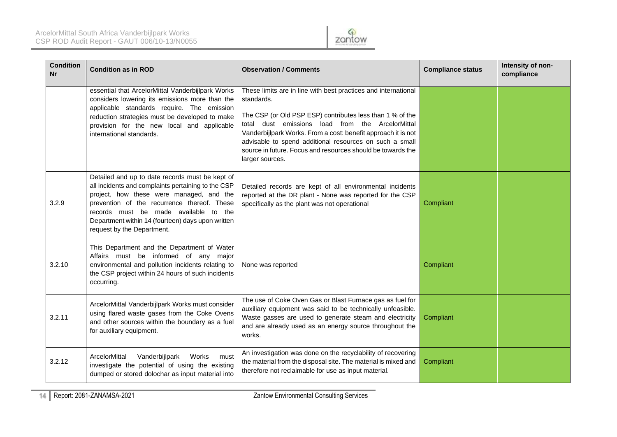

| <b>Condition</b><br><b>Nr</b> | <b>Condition as in ROD</b>                                                                                                                                                                                                                                                                                                   | <b>Observation / Comments</b>                                                                                                                                                                                                                                                                                                                                                                               | <b>Compliance status</b> | Intensity of non-<br>compliance |
|-------------------------------|------------------------------------------------------------------------------------------------------------------------------------------------------------------------------------------------------------------------------------------------------------------------------------------------------------------------------|-------------------------------------------------------------------------------------------------------------------------------------------------------------------------------------------------------------------------------------------------------------------------------------------------------------------------------------------------------------------------------------------------------------|--------------------------|---------------------------------|
|                               | essential that ArcelorMittal Vanderbijlpark Works<br>considers lowering its emissions more than the<br>applicable standards require. The emission<br>reduction strategies must be developed to make<br>provision for the new local and applicable<br>international standards.                                                | These limits are in line with best practices and international<br>standards.<br>The CSP (or Old PSP ESP) contributes less than 1 % of the<br>total dust emissions load from the ArcelorMittal<br>Vanderbijlpark Works. From a cost: benefit approach it is not<br>advisable to spend additional resources on such a small<br>source in future. Focus and resources should be towards the<br>larger sources. |                          |                                 |
| 3.2.9                         | Detailed and up to date records must be kept of<br>all incidents and complaints pertaining to the CSP<br>project, how these were managed, and the<br>prevention of the recurrence thereof. These<br>records must be made available to the<br>Department within 14 (fourteen) days upon written<br>request by the Department. | Detailed records are kept of all environmental incidents<br>reported at the DR plant - None was reported for the CSP<br>specifically as the plant was not operational                                                                                                                                                                                                                                       | Compliant                |                                 |
| 3.2.10                        | This Department and the Department of Water<br>Affairs must be informed of any major<br>environmental and pollution incidents relating to<br>the CSP project within 24 hours of such incidents<br>occurring.                                                                                                                 | None was reported                                                                                                                                                                                                                                                                                                                                                                                           | Compliant                |                                 |
| 3.2.11                        | ArcelorMittal Vanderbijlpark Works must consider<br>using flared waste gases from the Coke Ovens<br>and other sources within the boundary as a fuel<br>for auxiliary equipment.                                                                                                                                              | The use of Coke Oven Gas or Blast Furnace gas as fuel for<br>auxiliary equipment was said to be technically unfeasible.<br>Waste gasses are used to generate steam and electricity<br>and are already used as an energy source throughout the<br>works.                                                                                                                                                     | Compliant                |                                 |
| 3.2.12                        | Vanderbijlpark<br>ArcelorMittal<br>Works<br>must<br>investigate the potential of using the existing<br>dumped or stored dolochar as input material into                                                                                                                                                                      | An investigation was done on the recyclability of recovering<br>the material from the disposal site. The material is mixed and<br>therefore not reclaimable for use as input material.                                                                                                                                                                                                                      | Compliant                |                                 |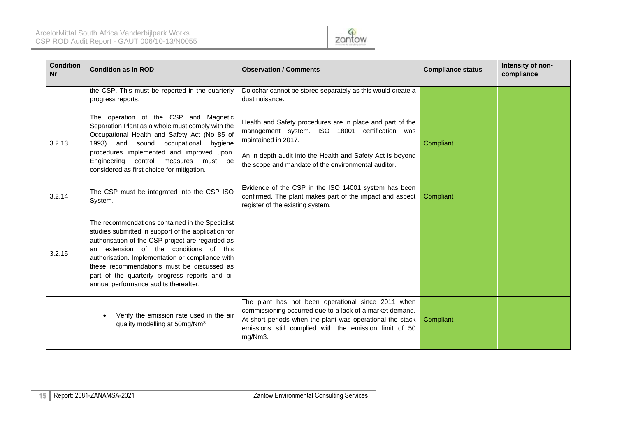

| <b>Condition</b><br><b>Nr</b> | <b>Condition as in ROD</b>                                                                                                                                                                                                                                                                                                                                                                        | <b>Observation / Comments</b>                                                                                                                                                                                                                           | <b>Compliance status</b> | Intensity of non-<br>compliance |
|-------------------------------|---------------------------------------------------------------------------------------------------------------------------------------------------------------------------------------------------------------------------------------------------------------------------------------------------------------------------------------------------------------------------------------------------|---------------------------------------------------------------------------------------------------------------------------------------------------------------------------------------------------------------------------------------------------------|--------------------------|---------------------------------|
|                               | the CSP. This must be reported in the quarterly<br>progress reports.                                                                                                                                                                                                                                                                                                                              | Dolochar cannot be stored separately as this would create a<br>dust nuisance.                                                                                                                                                                           |                          |                                 |
| 3.2.13                        | The operation of the CSP and Magnetic<br>Separation Plant as a whole must comply with the<br>Occupational Health and Safety Act (No 85 of<br>1993) and sound occupational hygiene<br>procedures implemented and improved upon.<br>control measures<br>Engineering<br>must be<br>considered as first choice for mitigation.                                                                        | Health and Safety procedures are in place and part of the<br>management system. ISO 18001 certification was<br>maintained in 2017.<br>An in depth audit into the Health and Safety Act is beyond<br>the scope and mandate of the environmental auditor. | Compliant                |                                 |
| 3.2.14                        | The CSP must be integrated into the CSP ISO<br>System.                                                                                                                                                                                                                                                                                                                                            | Evidence of the CSP in the ISO 14001 system has been<br>confirmed. The plant makes part of the impact and aspect<br>register of the existing system.                                                                                                    | Compliant                |                                 |
| 3.2.15                        | The recommendations contained in the Specialist<br>studies submitted in support of the application for<br>authorisation of the CSP project are regarded as<br>an extension of the conditions of this<br>authorisation. Implementation or compliance with<br>these recommendations must be discussed as<br>part of the quarterly progress reports and bi-<br>annual performance audits thereafter. |                                                                                                                                                                                                                                                         |                          |                                 |
|                               | Verify the emission rate used in the air<br>quality modelling at 50mg/Nm <sup>3</sup>                                                                                                                                                                                                                                                                                                             | The plant has not been operational since 2011 when<br>commissioning occurred due to a lack of a market demand.<br>At short periods when the plant was operational the stack<br>emissions still complied with the emission limit of 50<br>mg/Nm3.        | Compliant                |                                 |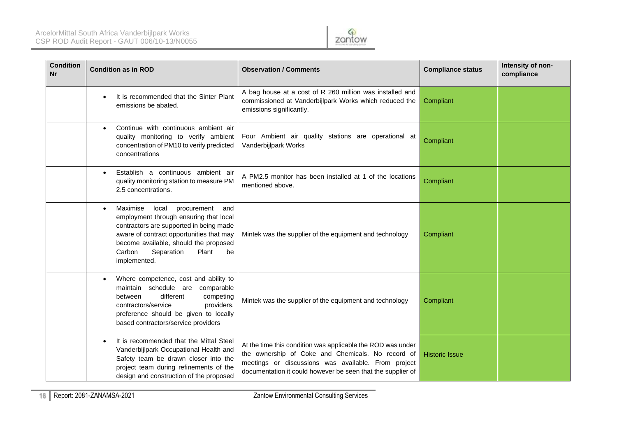

| <b>Condition</b><br>Nr | <b>Condition as in ROD</b>                                                                                                                                                                                                                                                            | <b>Observation / Comments</b>                                                                                                                                                                                                          | <b>Compliance status</b> | Intensity of non-<br>compliance |
|------------------------|---------------------------------------------------------------------------------------------------------------------------------------------------------------------------------------------------------------------------------------------------------------------------------------|----------------------------------------------------------------------------------------------------------------------------------------------------------------------------------------------------------------------------------------|--------------------------|---------------------------------|
|                        | It is recommended that the Sinter Plant<br>emissions be abated.                                                                                                                                                                                                                       | A bag house at a cost of R 260 million was installed and<br>commissioned at Vanderbijlpark Works which reduced the<br>emissions significantly.                                                                                         | Compliant                |                                 |
|                        | Continue with continuous ambient air<br>$\bullet$<br>quality monitoring to verify ambient<br>concentration of PM10 to verify predicted<br>concentrations                                                                                                                              | Four Ambient air quality stations are operational at<br>Vanderbijlpark Works                                                                                                                                                           | Compliant                |                                 |
|                        | Establish a continuous ambient air<br>٠<br>quality monitoring station to measure PM<br>2.5 concentrations.                                                                                                                                                                            | A PM2.5 monitor has been installed at 1 of the locations<br>mentioned above.                                                                                                                                                           | Compliant                |                                 |
|                        | Maximise<br>local<br>procurement<br>and<br>$\bullet$<br>employment through ensuring that local<br>contractors are supported in being made<br>aware of contract opportunities that may<br>become available, should the proposed<br>Plant<br>Carbon<br>Separation<br>be<br>implemented. | Mintek was the supplier of the equipment and technology                                                                                                                                                                                | Compliant                |                                 |
|                        | Where competence, cost and ability to<br>$\bullet$<br>maintain schedule are<br>comparable<br>different<br>competing<br>between<br>providers,<br>contractors/service<br>preference should be given to locally<br>based contractors/service providers                                   | Mintek was the supplier of the equipment and technology                                                                                                                                                                                | Compliant                |                                 |
|                        | It is recommended that the Mittal Steel<br>$\bullet$<br>Vanderbijlpark Occupational Health and<br>Safety team be drawn closer into the<br>project team during refinements of the<br>design and construction of the proposed                                                           | At the time this condition was applicable the ROD was under<br>the ownership of Coke and Chemicals. No record of<br>meetings or discussions was available. From project<br>documentation it could however be seen that the supplier of | <b>Historic Issue</b>    |                                 |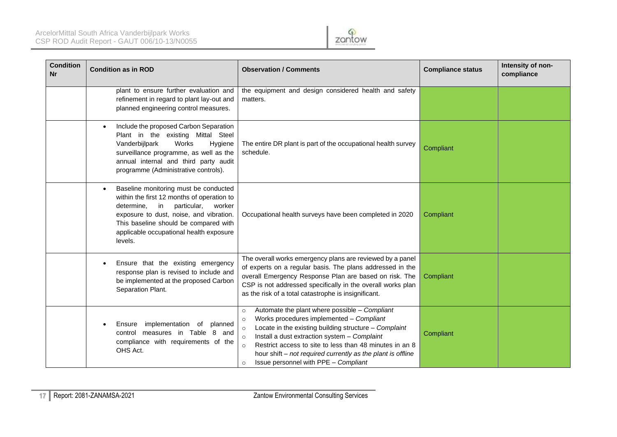

| <b>Condition</b><br><b>Nr</b> | <b>Condition as in ROD</b>                                                                                                                                                                                                                                                        | <b>Observation / Comments</b>                                                                                                                                                                                                                                                                                                                                                                                                          | <b>Compliance status</b> | Intensity of non-<br>compliance |
|-------------------------------|-----------------------------------------------------------------------------------------------------------------------------------------------------------------------------------------------------------------------------------------------------------------------------------|----------------------------------------------------------------------------------------------------------------------------------------------------------------------------------------------------------------------------------------------------------------------------------------------------------------------------------------------------------------------------------------------------------------------------------------|--------------------------|---------------------------------|
|                               | plant to ensure further evaluation and<br>refinement in regard to plant lay-out and<br>planned engineering control measures.                                                                                                                                                      | the equipment and design considered health and safety<br>matters.                                                                                                                                                                                                                                                                                                                                                                      |                          |                                 |
|                               | Include the proposed Carbon Separation<br>$\bullet$<br>Plant in the existing Mittal Steel<br>Vanderbijlpark<br>Works<br>Hygiene<br>surveillance programme, as well as the<br>annual internal and third party audit<br>programme (Administrative controls).                        | The entire DR plant is part of the occupational health survey<br>schedule.                                                                                                                                                                                                                                                                                                                                                             | Compliant                |                                 |
|                               | Baseline monitoring must be conducted<br>$\bullet$<br>within the first 12 months of operation to<br>determine, in particular,<br>worker<br>exposure to dust, noise, and vibration.<br>This baseline should be compared with<br>applicable occupational health exposure<br>levels. | Occupational health surveys have been completed in 2020                                                                                                                                                                                                                                                                                                                                                                                | Compliant                |                                 |
|                               | Ensure that the existing emergency<br>response plan is revised to include and<br>be implemented at the proposed Carbon<br>Separation Plant.                                                                                                                                       | The overall works emergency plans are reviewed by a panel<br>of experts on a regular basis. The plans addressed in the<br>overall Emergency Response Plan are based on risk. The<br>CSP is not addressed specifically in the overall works plan<br>as the risk of a total catastrophe is insignificant.                                                                                                                                | Compliant                |                                 |
|                               | implementation of planned<br>Ensure<br>control measures in Table 8 and<br>compliance with requirements of the<br>OHS Act.                                                                                                                                                         | Automate the plant where possible - Compliant<br>$\circ$<br>Works procedures implemented - Compliant<br>$\circ$<br>Locate in the existing building structure - Complaint<br>$\circ$<br>Install a dust extraction system - Complaint<br>$\circ$<br>Restrict access to site to less than 48 minutes in an 8<br>$\circ$<br>hour shift - not required currently as the plant is offline<br>Issue personnel with PPE - Compliant<br>$\circ$ | Compliant                |                                 |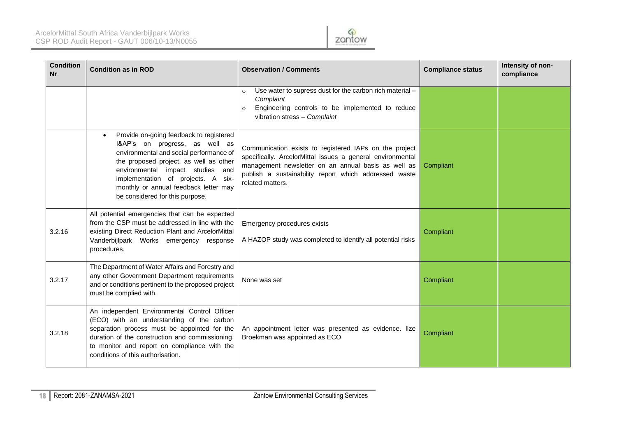

| <b>Condition</b><br><b>Nr</b> | <b>Condition as in ROD</b>                                                                                                                                                                                                                                                                                                        | <b>Observation / Comments</b>                                                                                                                                                                                                                            | <b>Compliance status</b> | Intensity of non-<br>compliance |
|-------------------------------|-----------------------------------------------------------------------------------------------------------------------------------------------------------------------------------------------------------------------------------------------------------------------------------------------------------------------------------|----------------------------------------------------------------------------------------------------------------------------------------------------------------------------------------------------------------------------------------------------------|--------------------------|---------------------------------|
|                               |                                                                                                                                                                                                                                                                                                                                   | Use water to supress dust for the carbon rich material -<br>$\circ$<br>Complaint<br>Engineering controls to be implemented to reduce<br>vibration stress - Complaint                                                                                     |                          |                                 |
|                               | Provide on-going feedback to registered<br>$\bullet$<br>I&AP's on progress, as well as<br>environmental and social performance of<br>the proposed project, as well as other<br>environmental impact studies and<br>implementation of projects. A six-<br>monthly or annual feedback letter may<br>be considered for this purpose. | Communication exists to registered IAPs on the project<br>specifically. ArcelorMittal issues a general environmental<br>management newsletter on an annual basis as well as<br>publish a sustainability report which addressed waste<br>related matters. | Compliant                |                                 |
| 3.2.16                        | All potential emergencies that can be expected<br>from the CSP must be addressed in line with the<br>existing Direct Reduction Plant and ArcelorMittal<br>Vanderbijlpark Works emergency response<br>procedures.                                                                                                                  | Emergency procedures exists<br>A HAZOP study was completed to identify all potential risks                                                                                                                                                               | Compliant                |                                 |
| 3.2.17                        | The Department of Water Affairs and Forestry and<br>any other Government Department requirements<br>and or conditions pertinent to the proposed project<br>must be complied with.                                                                                                                                                 | None was set                                                                                                                                                                                                                                             | Compliant                |                                 |
| 3.2.18                        | An independent Environmental Control Officer<br>(ECO) with an understanding of the carbon<br>separation process must be appointed for the<br>duration of the construction and commissioning,<br>to monitor and report on compliance with the<br>conditions of this authorisation.                                                 | An appointment letter was presented as evidence. Ilze<br>Broekman was appointed as ECO                                                                                                                                                                   | Compliant                |                                 |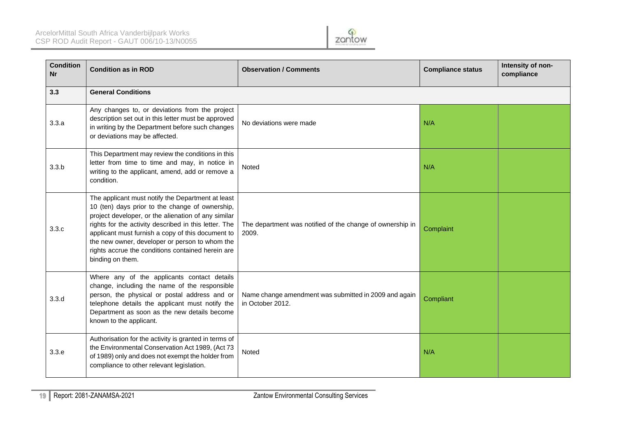

| <b>Condition</b><br><b>Nr</b> | <b>Condition as in ROD</b>                                                                                                                                                                                                                                                                                                                                                                           | <b>Observation / Comments</b>                                             | <b>Compliance status</b> | Intensity of non-<br>compliance |
|-------------------------------|------------------------------------------------------------------------------------------------------------------------------------------------------------------------------------------------------------------------------------------------------------------------------------------------------------------------------------------------------------------------------------------------------|---------------------------------------------------------------------------|--------------------------|---------------------------------|
| 3.3                           | <b>General Conditions</b>                                                                                                                                                                                                                                                                                                                                                                            |                                                                           |                          |                                 |
| 3.3.a                         | Any changes to, or deviations from the project<br>description set out in this letter must be approved<br>in writing by the Department before such changes<br>or deviations may be affected.                                                                                                                                                                                                          | No deviations were made                                                   | N/A                      |                                 |
| 3.3.b                         | This Department may review the conditions in this<br>letter from time to time and may, in notice in<br>writing to the applicant, amend, add or remove a<br>condition.                                                                                                                                                                                                                                | Noted                                                                     | N/A                      |                                 |
| 3.3.c                         | The applicant must notify the Department at least<br>10 (ten) days prior to the change of ownership,<br>project developer, or the alienation of any similar<br>rights for the activity described in this letter. The<br>applicant must furnish a copy of this document to<br>the new owner, developer or person to whom the<br>rights accrue the conditions contained herein are<br>binding on them. | The department was notified of the change of ownership in<br>2009.        | Complaint                |                                 |
| 3.3.d                         | Where any of the applicants contact details<br>change, including the name of the responsible<br>person, the physical or postal address and or<br>telephone details the applicant must notify the<br>Department as soon as the new details become<br>known to the applicant.                                                                                                                          | Name change amendment was submitted in 2009 and again<br>in October 2012. | Compliant                |                                 |
| 3.3.e                         | Authorisation for the activity is granted in terms of<br>the Environmental Conservation Act 1989, (Act 73<br>of 1989) only and does not exempt the holder from<br>compliance to other relevant legislation.                                                                                                                                                                                          | Noted                                                                     | N/A                      |                                 |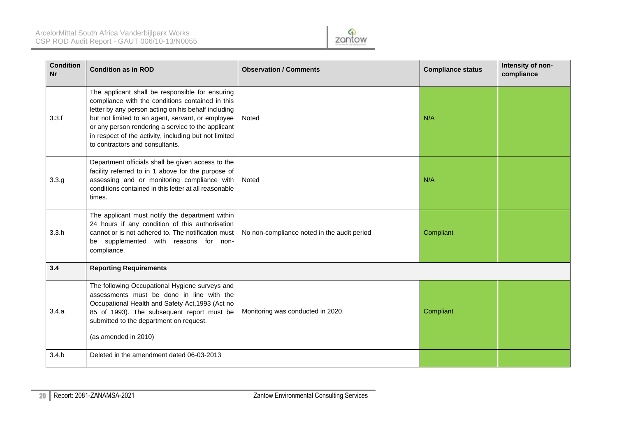

| <b>Condition</b><br>Nr | <b>Condition as in ROD</b>                                                                                                                                                                                                                                                                                                                                        | <b>Observation / Comments</b>               | <b>Compliance status</b> | Intensity of non-<br>compliance |  |  |
|------------------------|-------------------------------------------------------------------------------------------------------------------------------------------------------------------------------------------------------------------------------------------------------------------------------------------------------------------------------------------------------------------|---------------------------------------------|--------------------------|---------------------------------|--|--|
| 3.3.f                  | The applicant shall be responsible for ensuring<br>compliance with the conditions contained in this<br>letter by any person acting on his behalf including<br>but not limited to an agent, servant, or employee<br>or any person rendering a service to the applicant<br>in respect of the activity, including but not limited<br>to contractors and consultants. | Noted                                       | N/A                      |                                 |  |  |
| 3.3.g                  | Department officials shall be given access to the<br>facility referred to in 1 above for the purpose of<br>assessing and or monitoring compliance with<br>conditions contained in this letter at all reasonable<br>times.                                                                                                                                         | Noted                                       | N/A                      |                                 |  |  |
| 3.3.h                  | The applicant must notify the department within<br>24 hours if any condition of this authorisation<br>cannot or is not adhered to. The notification must<br>be supplemented with reasons for non-<br>compliance.                                                                                                                                                  | No non-compliance noted in the audit period | Compliant                |                                 |  |  |
| 3.4                    | <b>Reporting Requirements</b>                                                                                                                                                                                                                                                                                                                                     |                                             |                          |                                 |  |  |
| 3.4.a                  | The following Occupational Hygiene surveys and<br>assessments must be done in line with the<br>Occupational Health and Safety Act, 1993 (Act no<br>85 of 1993). The subsequent report must be<br>submitted to the department on request.<br>(as amended in 2010)                                                                                                  | Monitoring was conducted in 2020.           | Compliant                |                                 |  |  |
| 3.4.b                  | Deleted in the amendment dated 06-03-2013                                                                                                                                                                                                                                                                                                                         |                                             |                          |                                 |  |  |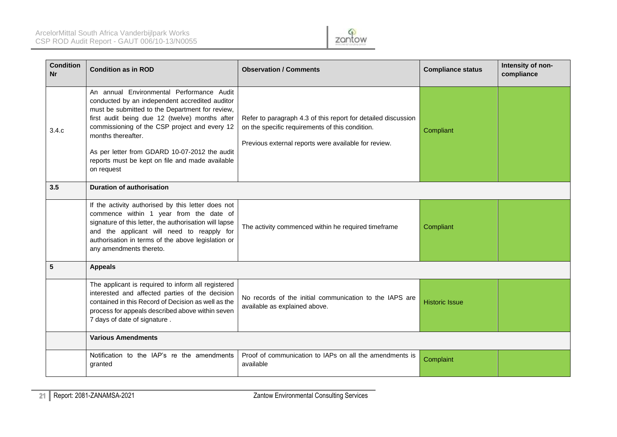

| <b>Condition</b><br>Nr | <b>Condition as in ROD</b>                                                                                                                                                                                                                                                                                                                                                                | <b>Observation / Comments</b>                                                                                                                                            | <b>Compliance status</b> | Intensity of non-<br>compliance |
|------------------------|-------------------------------------------------------------------------------------------------------------------------------------------------------------------------------------------------------------------------------------------------------------------------------------------------------------------------------------------------------------------------------------------|--------------------------------------------------------------------------------------------------------------------------------------------------------------------------|--------------------------|---------------------------------|
| 3.4.c                  | An annual Environmental Performance Audit<br>conducted by an independent accredited auditor<br>must be submitted to the Department for review,<br>first audit being due 12 (twelve) months after<br>commissioning of the CSP project and every 12<br>months thereafter.<br>As per letter from GDARD 10-07-2012 the audit<br>reports must be kept on file and made available<br>on request | Refer to paragraph 4.3 of this report for detailed discussion<br>on the specific requirements of this condition.<br>Previous external reports were available for review. | Compliant                |                                 |
| 3.5                    | <b>Duration of authorisation</b>                                                                                                                                                                                                                                                                                                                                                          |                                                                                                                                                                          |                          |                                 |
|                        | If the activity authorised by this letter does not<br>commence within 1 year from the date of<br>signature of this letter, the authorisation will lapse<br>and the applicant will need to reapply for<br>authorisation in terms of the above legislation or<br>any amendments thereto.                                                                                                    | The activity commenced within he required timeframe                                                                                                                      | Compliant                |                                 |
| 5                      | <b>Appeals</b>                                                                                                                                                                                                                                                                                                                                                                            |                                                                                                                                                                          |                          |                                 |
|                        | The applicant is required to inform all registered<br>interested and affected parties of the decision<br>contained in this Record of Decision as well as the<br>process for appeals described above within seven<br>7 days of date of signature.                                                                                                                                          | No records of the initial communication to the IAPS are<br>available as explained above.                                                                                 | <b>Historic Issue</b>    |                                 |
|                        | <b>Various Amendments</b>                                                                                                                                                                                                                                                                                                                                                                 |                                                                                                                                                                          |                          |                                 |
|                        | Notification to the IAP's re the amendments<br>granted                                                                                                                                                                                                                                                                                                                                    | Proof of communication to IAPs on all the amendments is<br>available                                                                                                     | Complaint                |                                 |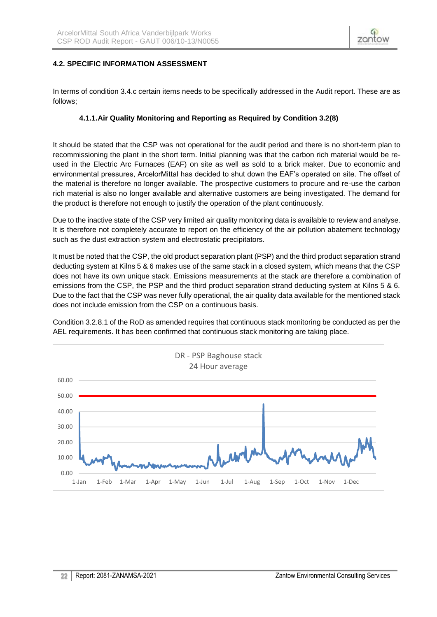

#### <span id="page-21-0"></span>**4.2. SPECIFIC INFORMATION ASSESSMENT**

<span id="page-21-1"></span>In terms of condition 3.4.c certain items needs to be specifically addressed in the Audit report. These are as follows;

#### **4.1.1.Air Quality Monitoring and Reporting as Required by Condition 3.2(8)**

It should be stated that the CSP was not operational for the audit period and there is no short-term plan to recommissioning the plant in the short term. Initial planning was that the carbon rich material would be reused in the Electric Arc Furnaces (EAF) on site as well as sold to a brick maker. Due to economic and environmental pressures, ArcelorMittal has decided to shut down the EAF's operated on site. The offset of the material is therefore no longer available. The prospective customers to procure and re-use the carbon rich material is also no longer available and alternative customers are being investigated. The demand for the product is therefore not enough to justify the operation of the plant continuously.

Due to the inactive state of the CSP very limited air quality monitoring data is available to review and analyse. It is therefore not completely accurate to report on the efficiency of the air pollution abatement technology such as the dust extraction system and electrostatic precipitators.

It must be noted that the CSP, the old product separation plant (PSP) and the third product separation strand deducting system at Kilns 5 & 6 makes use of the same stack in a closed system, which means that the CSP does not have its own unique stack. Emissions measurements at the stack are therefore a combination of emissions from the CSP, the PSP and the third product separation strand deducting system at Kilns 5 & 6. Due to the fact that the CSP was never fully operational, the air quality data available for the mentioned stack does not include emission from the CSP on a continuous basis.

Condition 3.2.8.1 of the RoD as amended requires that continuous stack monitoring be conducted as per the AEL requirements. It has been confirmed that continuous stack monitoring are taking place.

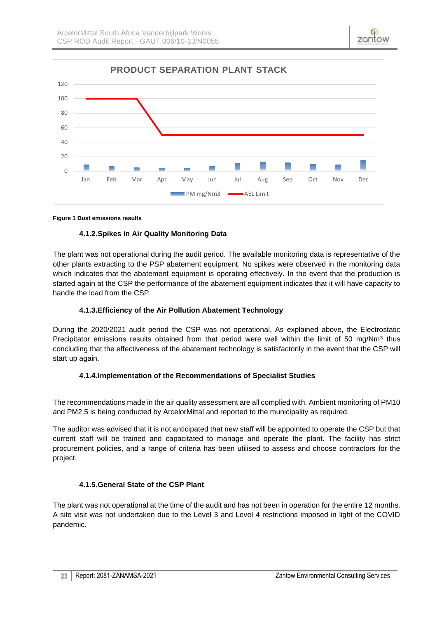

#### <span id="page-22-0"></span>**Figure 1 Dust emissions results**

# **4.1.2.Spikes in Air Quality Monitoring Data**

The plant was not operational during the audit period. The available monitoring data is representative of the other plants extracting to the PSP abatement equipment. No spikes were observed in the monitoring data which indicates that the abatement equipment is operating effectively. In the event that the production is started again at the CSP the performance of the abatement equipment indicates that it will have capacity to handle the load from the CSP.

# **4.1.3.Efficiency of the Air Pollution Abatement Technology**

<span id="page-22-1"></span>During the 2020/2021 audit period the CSP was not operational. As explained above, the Electrostatic Precipitator emissions results obtained from that period were well within the limit of 50 mg/Nm<sup>3</sup> thus concluding that the effectiveness of the abatement technology is satisfactorily in the event that the CSP will start up again.

# **4.1.4.Implementation of the Recommendations of Specialist Studies**

<span id="page-22-2"></span>The recommendations made in the air quality assessment are all complied with. Ambient monitoring of PM10 and PM2.5 is being conducted by ArcelorMittal and reported to the municipality as required.

The auditor was advised that it is not anticipated that new staff will be appointed to operate the CSP but that current staff will be trained and capacitated to manage and operate the plant. The facility has strict procurement policies, and a range of criteria has been utilised to assess and choose contractors for the project.

# **4.1.5.General State of the CSP Plant**

<span id="page-22-3"></span>The plant was not operational at the time of the audit and has not been in operation for the entire 12 months. A site visit was not undertaken due to the Level 3 and Level 4 restrictions imposed in light of the COVID pandemic.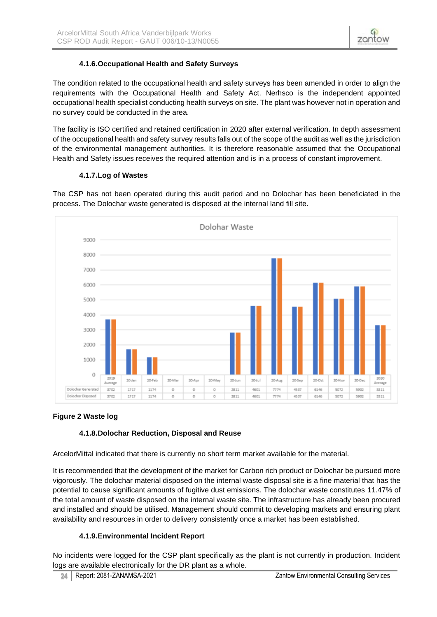# **4.1.6.Occupational Health and Safety Surveys**

<span id="page-23-0"></span>The condition related to the occupational health and safety surveys has been amended in order to align the requirements with the Occupational Health and Safety Act. Nerhsco is the independent appointed occupational health specialist conducting health surveys on site. The plant was however not in operation and no survey could be conducted in the area.

The facility is ISO certified and retained certification in 2020 after external verification. In depth assessment of the occupational health and safety survey results falls out of the scope of the audit as well as the jurisdiction of the environmental management authorities. It is therefore reasonable assumed that the Occupational Health and Safety issues receives the required attention and is in a process of constant improvement.

# **4.1.7.Log of Wastes**

<span id="page-23-1"></span>The CSP has not been operated during this audit period and no Dolochar has been beneficiated in the process. The Dolochar waste generated is disposed at the internal land fill site.



# <span id="page-23-2"></span>**Figure 2 Waste log**

# **4.1.8.Dolochar Reduction, Disposal and Reuse**

ArcelorMittal indicated that there is currently no short term market available for the material.

It is recommended that the development of the market for Carbon rich product or Dolochar be pursued more vigorously. The dolochar material disposed on the internal waste disposal site is a fine material that has the potential to cause significant amounts of fugitive dust emissions. The dolochar waste constitutes 11.47% of the total amount of waste disposed on the internal waste site. The infrastructure has already been procured and installed and should be utilised. Management should commit to developing markets and ensuring plant availability and resources in order to delivery consistently once a market has been established.

# **4.1.9.Environmental Incident Report**

<span id="page-23-3"></span>No incidents were logged for the CSP plant specifically as the plant is not currently in production. Incident logs are available electronically for the DR plant as a whole.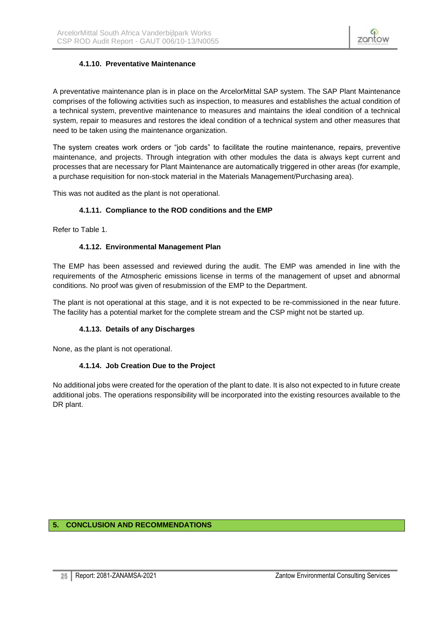

# **4.1.10. Preventative Maintenance**

<span id="page-24-0"></span>A preventative maintenance plan is in place on the ArcelorMittal SAP system. The SAP Plant Maintenance comprises of the following activities such as inspection, to measures and establishes the actual condition of a technical system, preventive maintenance to measures and maintains the ideal condition of a technical system, repair to measures and restores the ideal condition of a technical system and other measures that need to be taken using the maintenance organization.

The system creates work orders or "job cards" to facilitate the routine maintenance, repairs, preventive maintenance, and projects. Through integration with other modules the data is always kept current and processes that are necessary for Plant Maintenance are automatically triggered in other areas (for example, a purchase requisition for non-stock material in the Materials Management/Purchasing area).

<span id="page-24-1"></span>This was not audited as the plant is not operational.

#### **4.1.11. Compliance to the ROD conditions and the EMP**

<span id="page-24-2"></span>Refer to Table 1.

#### **4.1.12. Environmental Management Plan**

The EMP has been assessed and reviewed during the audit. The EMP was amended in line with the requirements of the Atmospheric emissions license in terms of the management of upset and abnormal conditions. No proof was given of resubmission of the EMP to the Department.

The plant is not operational at this stage, and it is not expected to be re-commissioned in the near future. The facility has a potential market for the complete stream and the CSP might not be started up.

#### **4.1.13. Details of any Discharges**

<span id="page-24-4"></span><span id="page-24-3"></span>None, as the plant is not operational.

#### **4.1.14. Job Creation Due to the Project**

No additional jobs were created for the operation of the plant to date. It is also not expected to in future create additional jobs. The operations responsibility will be incorporated into the existing resources available to the DR plant.

#### <span id="page-24-5"></span>**5. CONCLUSION AND RECOMMENDATIONS**